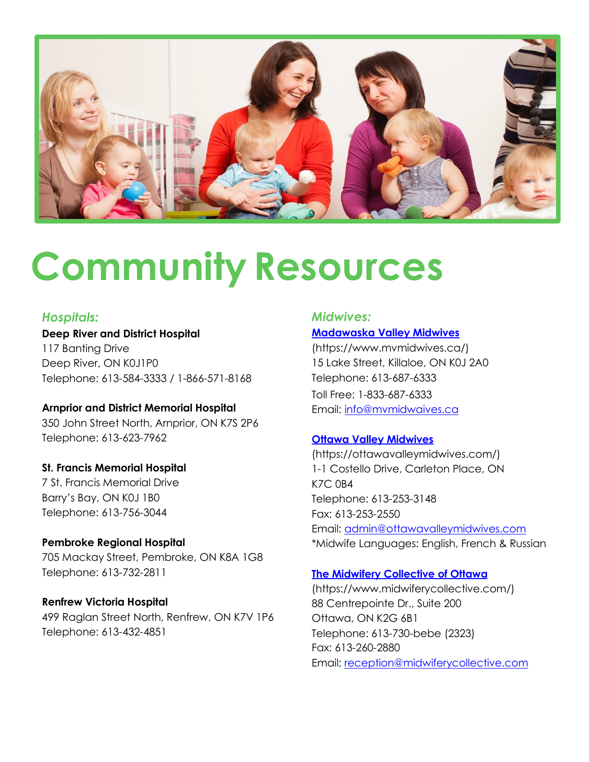

# **Community Resources**

# *Hospitals:*

**Deep River and District Hospital** 117 Banting Drive Deep River, ON K0J1P0 Telephone: 613-584-3333 / 1-866-571-8168

**Arnprior and District Memorial Hospital** 350 John Street North, Arnprior, ON K7S 2P6

Telephone: 613-623-7962

# **St. Francis Memorial Hospital**

7 St. Francis Memorial Drive Barry's Bay, ON K0J 1B0 Telephone: 613-756-3044

**Pembroke Regional Hospital** 705 Mackay Street, Pembroke, ON K8A 1G8

Telephone: 613-732-2811

## **Renfrew Victoria Hospital**

499 Raglan Street North, Renfrew, ON K7V 1P6 Telephone: 613-432-4851

# *Midwives:*

## **[Madawaska](https://www.mvmidwives.ca/) Valley Midwives**

[\(https://www.mvmidwives.ca/\)](https://www.mvmidwives.ca/) 15 Lake Street, Killaloe, ON K0J 2A0 Telephone: 613-687-6333 Toll Free: 1-833-687-6333 Email: [info@mvmidwaives.ca](mailto:info@mvmidwaives.ca)

## **Ottawa Valley [Midwives](https://ottawavalleymidwives.com/)**

[\(https://ottawavalleymidwives.com/\)](https://ottawavalleymidwives.com/) 1-1 Costello Drive, Carleton Place, ON K7C 0B4 Telephone: 613-253-3148 Fax: 613-253-2550 Email: [admin@ottawavalleymidwives.com](mailto:admin@ottawavalleymidwives.com) \*Midwife Languages: English, French & Russian

## **The [Midwifery Collective](https://www.midwiferycollective.com/) of Ottawa**

[\(https://www.midwiferycollective.com/\)](https://www.midwiferycollective.com/) 88 Centrepointe Dr., Suite 200 Ottawa, ON K2G 6B1 Telephone: 613-730-bebe (2323) Fax: 613-260-2880 Email: [reception@midwiferycollective.com](mailto:reception@midwiferycollective.com)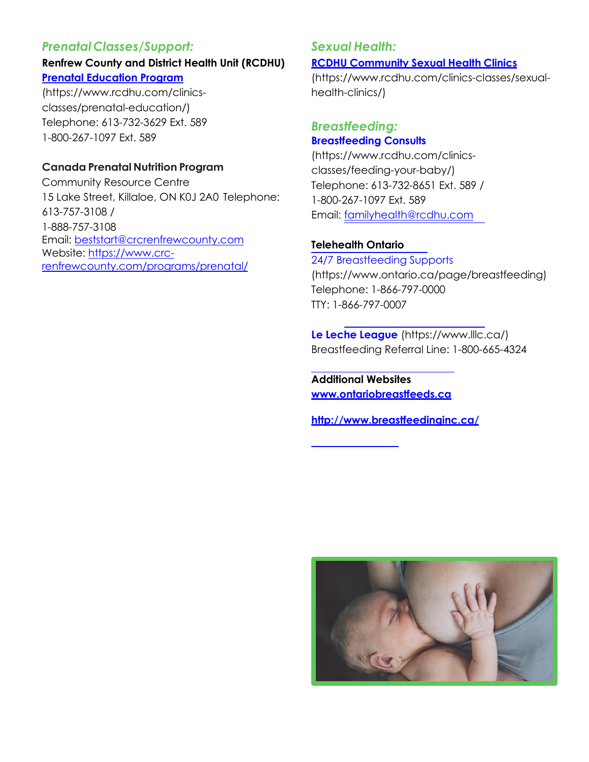# *Prenatal Classes/Support:*

# **Renfrew County and District Health Unit (RCDHU) Prenatal [Education](https://www.rcdhu.com/clinics-classes/prenatal-education/) Program**

(https:/[/www.rcdhu.com/clinics](http://www.rcdhu.com/clinics-)classes/prenatal-education/) Telephone: 613-732-3629 Ext. 589 1-800-267-1097 Ext. 589

# **Canada Prenatal Nutrition Program**

Community Resource Centre 15 Lake Street, Killaloe, ON K0J 2A0 Telephone: 613-757-3108 / 1-888-757-3108 Email: [beststart@crcrenfrewcounty.com](mailto:beststart@crcrenfrewcounty.com) Website: [https://www.crc](https://www.crc-renfrewcounty.com/programs/prenatal/)[renfrewcounty.com/programs/prenatal/](https://www.crc-renfrewcounty.com/programs/prenatal/)

# *Sexual Health:*

#### **RCDHU [Community](https://www.rcdhu.com/clinics-classes/sexual-health-clinics/) Sexual Health Clinics**

(https:/[/www.rcdhu.com/clinics-classes/sexual](http://www.rcdhu.com/clinics-classes/sexual-)health-clinics/)

# *Breastfeeding:* **[Breastfeeding](https://www.rcdhu.com/clinics-classes/feeding-your-baby/) Consults**

(https:/[/www.rcdhu.com/clinics](http://www.rcdhu.com/clinics-)classes/feeding-your-baby/) Telephone: 613-732-8651 Ext. 589 / 1-800-267-1097 Ext. 589 Email: [familyhealth@rcdhu.com](mailto:familyhealth@rcdhu.com)

## **Telehealth Ontario**

24/7 [Breastfeeding](https://www.ontario.ca/page/breastfeeding) Supports (https:/[/www.ontario.ca/page/breastfeeding\)](http://www.ontario.ca/page/breastfeeding)) Telephone: 1-866-797-0000 TTY: 1-866-797-0007

**Le Leche [League](https://www.lllc.ca/)** (https:/[/www.lllc.ca/\)](http://www.lllc.ca/)) Breastfeeding Referral Line: 1-800-665-4324

**Additional Websites [www.ontariobreastfeeds.ca](http://www.ontariobreastfeeds.ca/)**

**<http://www.breastfeedinginc.ca/>**

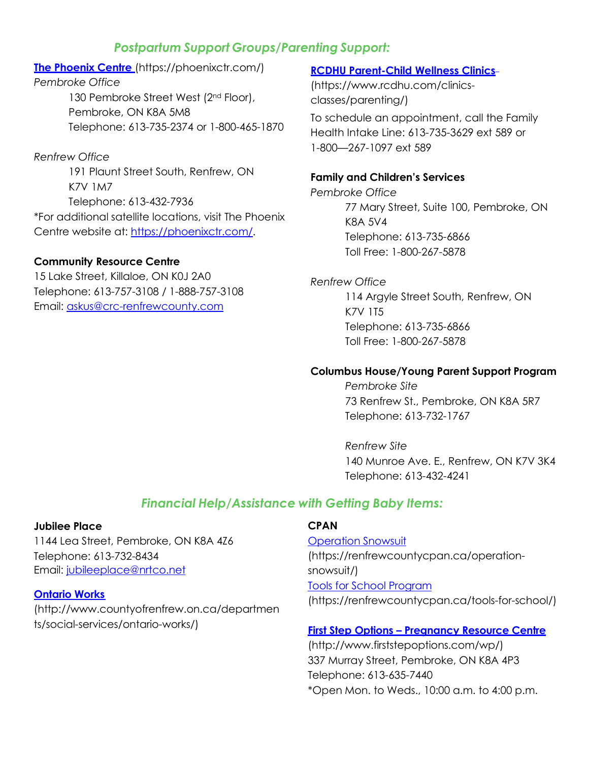# *Postpartum Support Groups/Parenting Support:*

# **The [Phoenix Centre](https://phoenixctr.com/)** (https://phoenixctr.com/) *Pembroke Office* 130 Pembroke Street West (2<sup>nd</sup> Floor), Pembroke, ON K8A 5M8 Telephone: 613-735-2374 or 1-800-465-1870

## *Renfrew Office*

191 Plaunt Street South, Renfrew, ON K7V 1M7 Telephone: 613-432-7936 \*For additional satellite locations, visit The Phoenix Centre website at: [https://phoenixctr.com/.](https://phoenixctr.com/)

#### **Community Resource Centre**

15 Lake Street, Killaloe, ON K0J 2A0 Telephone: 613-757-3108 / 1-888-757-3108 Email: [askus@crc-renfrewcounty.com](mailto:askus@crc-renfrewcounty.com)

#### **RCDHU Parent-Child [Wellness Clinics](https://www.rcdhu.com/clinics-classes/parenting/)**

(https:/[/www.rcdhu.com/clinics](http://www.rcdhu.com/clinics-)classes/parenting/)

To schedule an appointment, call the Family Health Intake Line: 613-735-3629 ext 589 or 1-800—267-1097 ext 589

#### **Family and Children's Services**

*Pembroke Office* 77 Mary Street, Suite 100, Pembroke, ON K8A 5V4 Telephone: 613-735-6866 Toll Free: 1-800-267-5878

# *Renfrew Office*

114 Argyle Street South, Renfrew, ON K7V 1T5 Telephone: 613-735-6866 Toll Free: 1-800-267-5878

#### **Columbus House/Young Parent Support Program**

*Pembroke Site* 73 Renfrew St., Pembroke, ON K8A 5R7 Telephone: 613-732-1767

*Renfrew Site* 140 Munroe Ave. E., Renfrew, ON K7V 3K4 Telephone: 613-432-4241

# *Financial Help/Assistance with Getting Baby Items:*

#### **Jubilee Place**

1144 Lea Street, Pembroke, ON K8A 4Z6 Telephone: 613-732-8434 Email: [jubileeplace@nrtco.net](mailto:jubileeplace@nrtco.net)

#### **[Ontario](http://www.countyofrenfrew.on.ca/departments/social-services/ontario-works/) Works**

[\(http://www.countyofrenfrew.on.ca/departmen](http://www.countyofrenfrew.on.ca/departments/social-services/ontario-works/) [ts/social-services/ontario-works/\)](http://www.countyofrenfrew.on.ca/departments/social-services/ontario-works/)

#### **CPAN**

[Operation](https://renfrewcountycpan.ca/operation-snowsuit/) Snowsuit (https://renfrewcountycpan.ca/operationsnowsuit/) Tools for [School Program](https://renfrewcountycpan.ca/tools-for-school/) [\(https://renfrewcountycpan.ca/tools-for-school/\)](https://renfrewcountycpan.ca/tools-for-school/)

#### **First Step Options – Pregnancy [Resource Centre](http://www.firststepoptions.com/wp/)**

[\(http://www.firststepoptions.com/wp/\)](http://www.firststepoptions.com/wp/) 337 Murray Street, Pembroke, ON K8A 4P3 Telephone: 613-635-7440 \*Open Mon. to Weds., 10:00 a.m. to 4:00 p.m.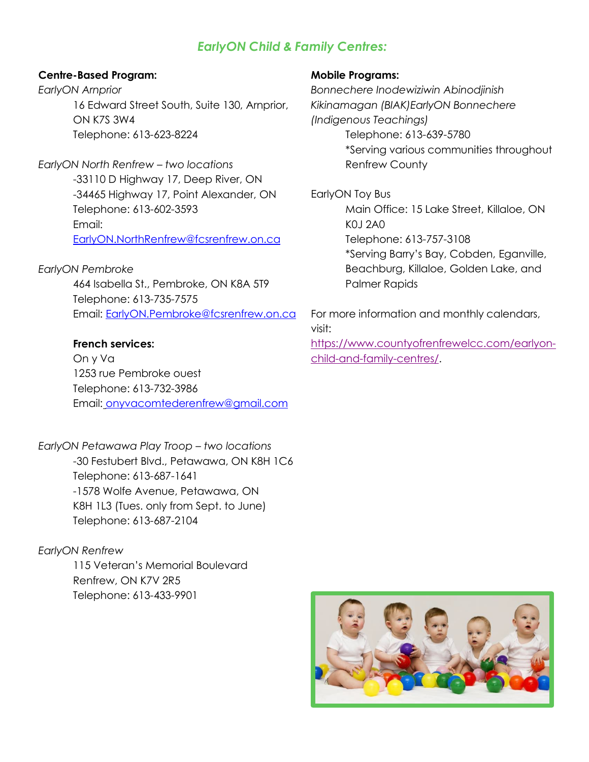# *EarlyON Child & Family Centres:*

#### **Centre-Based Program:**

*EarlyON Arnprior* 16 Edward Street South, Suite 130, Arnprior, ON K7S 3W4 Telephone: 613-623-8224

*EarlyON North Renfrew – two locations* -33110 D Highway 17, Deep River, ON -34465 Highway 17, Point Alexander, ON Telephone: 613-602-3593 Email: [EarlyON.NorthRenfrew@fcsrenfrew.on.ca](mailto:EarlyON.NorthRenfrew@fcsrenfrew.on.ca)

#### *EarlyON Pembroke*

464 Isabella St., Pembroke, ON K8A 5T9 Telephone: 613-735-7575 Email: [EarlyON.Pembroke@fcsrenfrew.on.ca](mailto:EarlyON.Pembroke@fcsrenfrew.on.ca)

#### **French services:**

On y Va 1253 rue Pembroke ouest Telephone: 613-732-3986 Email: [onyvacomtederenfrew@gmail.com](mailto:onyvacomtederenfrew@gmail.com)

*EarlyON Petawawa Play Troop – two locations* -30 Festubert Blvd., Petawawa, ON K8H 1C6 Telephone: 613-687-1641 -1578 Wolfe Avenue, Petawawa, ON K8H 1L3 (Tues. only from Sept. to June) Telephone: 613-687-2104

#### *EarlyON Renfrew*

115 Veteran's Memorial Boulevard Renfrew, ON K7V 2R5 Telephone: 613-433-9901

#### **Mobile Programs:**

*Bonnechere Inodewiziwin Abinodjinish Kikinamagan (BIAK)EarlyON Bonnechere (Indigenous Teachings)* Telephone: 613-639-5780 \*Serving various communities throughout Renfrew County

EarlyON Toy Bus Main Office: 15 Lake Street, Killaloe, ON K0J 2A0 Telephone: 613-757-3108 \*Serving Barry's Bay, Cobden, Eganville, Beachburg, Killaloe, Golden Lake, and Palmer Rapids

For more information and monthly calendars, visit:

[https://www.countyofrenfrewelcc.com/earlyon](https://www.countyofrenfrewelcc.com/earlyon-child-and-family-centres/)[child-and-family-centres/.](https://www.countyofrenfrewelcc.com/earlyon-child-and-family-centres/)

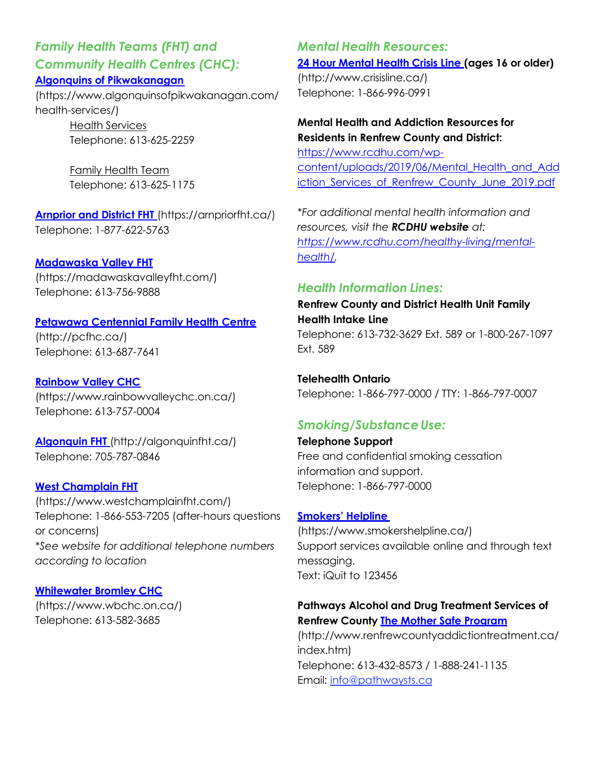*Family Health Teams (FHT) and Community Health Centres (CHC):*

# **Algonquins of [Pikwakanagan](https://www.algonquinsofpikwakanagan.com/health-services/)**

(https:/[/www.algonquinsofpikwakanagan.com/](http://www.algonquinsofpikwakanagan.com/) health-services/)

> Health Services Telephone: 613-625-2259

> Family Health Team Telephone: 613-625-1175

**[Arnprior and](https://arnpriorfht.ca/) District FHT** (https://arnpriorfht.ca/) Telephone: 1-877-622-5763

**[Madawaska](https://madawaskavalleyfht.com/) Valley FHT**

(https://madawaskavalleyfht.com/) Telephone: 613-756-9888

#### **Petawawa [Centennial](http://pcfhc.ca/) Family Health Centre**

[\(http://pcfhc.ca/\)](http://pcfhc.ca/)) Telephone: 613-687-7641

**[Rainbow](https://www.rainbowvalleychc.on.ca/) Valley CHC** (https:/[/www.rainbowvalleychc.on.ca/\)](http://www.rainbowvalleychc.on.ca/)) Telephone: 613-757-0004

**[Algonquin](http://algonquinfht.ca/) FHT** [\(http://algonquinfht.ca/\)](http://algonquinfht.ca/)) Telephone: 705-787-0846

#### **[West Champlain](https://www.westchamplainfht.com/) FHT**

(https:/[/www.westchamplainfht.com/\)](http://www.westchamplainfht.com/)) Telephone: 1-866-553-7205 (after-hours questions or concerns) *\*See website for additional telephone numbers according to location*

#### **[Whitewater Bromley](https://www.wbchc.on.ca/) CHC**

(https:/[/www.wbchc.on.ca/\)](http://www.wbchc.on.ca/)) Telephone: 613-582-3685

*Mental Health Resources:* **24 Hour Mental Health [Crisis Line](https://www.crisisline.ca/) (ages 16 or older)** [\(http://www.crisisline.ca/\)](http://www.crisisline.ca/)) Telephone: 1-866-996-0991

**Mental Health and Addiction Resources for Residents in Renfrew County and District:** [https://www.rcdhu.com/wp](https://www.rcdhu.com/wp-content/uploads/2019/06/Mental_Health_and_Addiction_Services_of_Renfrew_County_June_2019.pdf)[content/uploads/2019/06/Mental\\_Health\\_and\\_Add](https://www.rcdhu.com/wp-content/uploads/2019/06/Mental_Health_and_Addiction_Services_of_Renfrew_County_June_2019.pdf) iction Services of Renfrew County June 2019.pdf

*\*For additional mental health information and resources, visit the RCDHU website at: [https://www.rcdhu.com/healthy-living/mental](https://www.rcdhu.com/healthy-living/mental-health/)[health/.](https://www.rcdhu.com/healthy-living/mental-health/)*

# *Health Information Lines:*

**Renfrew County and District Health Unit Family Health Intake Line** Telephone: 613-732-3629 Ext. 589 or 1-800-267-1097 Ext. 589

**Telehealth Ontario** Telephone: 1-866-797-0000 / TTY: 1-866-797-0007

# *Smoking/SubstanceUse:*

**Telephone Support** Free and confidential smoking cessation information and support. Telephone: 1-866-797-0000

#### **[Smokers'](https://www.smokershelpline.ca/) Helpline**

[\(https://www.smokershelpline.ca/\)](https://www.smokershelpline.ca/) Support services available online and through text messaging. Text: iQuit to 123456

#### **Pathways Alcohol and Drug Treatment Services of Renfrew County The Mother Safe [Program](http://www.renfrewcountyaddictiontreatment.ca/index.htm)**

[\(http://www.renfrewcountyaddictiontreatment.ca/](http://www.renfrewcountyaddictiontreatment.ca/) index.htm) Telephone: 613-432-8573 / 1-888-241-1135 Email: [info@pathwaysts.ca](mailto:info@pathwaysts.ca)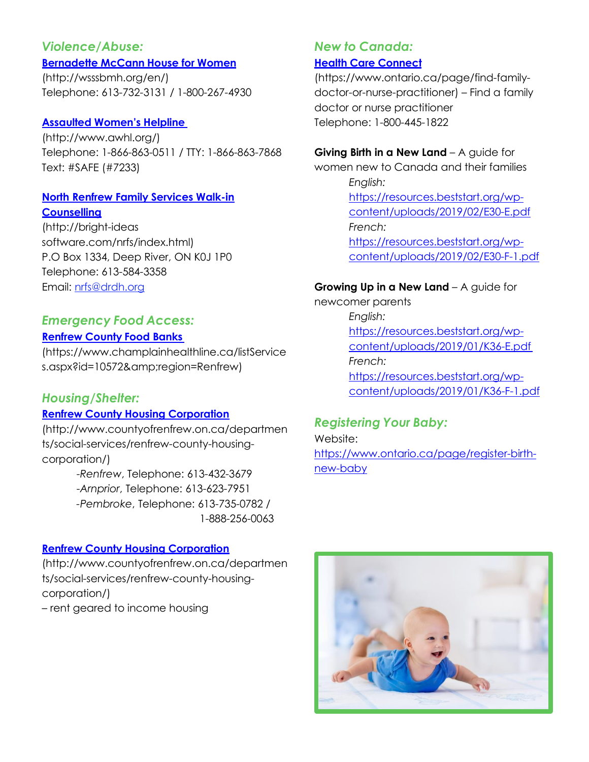# *Violence/Abuse:*

#### **[Bernadette](http://wsssbmh.org/en/) McCann House for Women**

[\(http://wsssbmh.org/en/\)](http://wsssbmh.org/en/)) Telephone: 613-732-3131 / 1-800-267-4930

#### **Assaulted [Women's Helpline](http://www.awhl.org/)**

[\(http://www.awhl.org/\)](http://www.awhl.org/)) Telephone: 1-866-863-0511 / TTY: 1-866-863-7868 Text: #SAFE (#7233)

#### **North Renfrew Family [Services Walk-in](http://bright-ideas-software.com/nrfs/index.html) [Counselling](http://bright-ideas-software.com/nrfs/index.html)**

[\(http://bright-ideas](http://bright-ideas/) software.com/nrfs/index.html) P.O Box 1334, Deep River, ON K0J 1P0 Telephone: 613-584-3358 Email: [nrfs@drdh.org](mailto:nrfs@drdh.org)

### *Emergency Food Access:* **[Renfrew County](https://www.champlainhealthline.ca/listServices.aspx?id=10572&amp%3Bregion=Renfrew) Food Banks**

(https:/[/www.champlainhealthline.ca/listService](http://www.champlainhealthline.ca/listService) s.aspx?id=10572&region=Renfrew)

# *Housing/Shelter:*

# **[Renfrew County](http://www.countyofrenfrew.on.ca/departments/social-services/renfrew-county-housing-corporation/) Housing Corporation**

[\(http://www.countyofrenfrew.on.ca/departmen](http://www.countyofrenfrew.on.ca/departmen) ts/social-services/renfrew-county-housingcorporation/)

-*Renfrew*, Telephone: 613-432-3679 -*Arnprior*, Telephone: 613-623-7951 *-Pembroke*, Telephone: 613-735-0782 / 1-888-256-0063

#### **[Renfrew County](http://www.countyofrenfrew.on.ca/departments/social-services/renfrew-county-housing-corporation/) Housing Corporation**

[\(http://www.countyofrenfrew.on.ca/departmen](http://www.countyofrenfrew.on.ca/departmen) ts/social-services/renfrew-county-housingcorporation/)

– rent geared to income housing

# *New to Canada:* **Health Care [Connect](https://www.ontario.ca/page/find-family-doctor-or-nurse-practitioner)**

(https:/[/www.ontario.ca/page/find-family](http://www.ontario.ca/page/find-family-)doctor-or-nurse-practitioner) – Find a family doctor or nurse practitioner Telephone: 1-800-445-1822

#### **Giving Birth in a New Land** – A guide for

women new to Canada and their families *English:* [https://resources.beststart.org/wp](https://resources.beststart.org/wp-content/uploads/2019/02/E30-E.pdf)[content/uploads/2019/02/E30-E.pdf](https://resources.beststart.org/wp-content/uploads/2019/02/E30-E.pdf) *French:* [https://resources.beststart.org/wp](https://resources.beststart.org/wp-content/uploads/2019/02/E30-F-1.pdf)[content/uploads/2019/02/E30-F-1.pdf](https://resources.beststart.org/wp-content/uploads/2019/02/E30-F-1.pdf)

#### **Growing Up in a New Land** – A guide for

newcomer parents *English:* [https://resources.beststart.org/wp](https://resources.beststart.org/wp-content/uploads/2019/01/K36-E.pdf)[content/uploads/2019/01/K36-E.pdf](https://resources.beststart.org/wp-content/uploads/2019/01/K36-E.pdf) *French:* [https://resources.beststart.org/wp](https://resources.beststart.org/wp-content/uploads/2019/01/K36-F-1.pdf)[content/uploads/2019/01/K36-F-1.pdf](https://resources.beststart.org/wp-content/uploads/2019/01/K36-F-1.pdf)

# *Registering Your Baby:*

Website: [https://www.ontario.ca/page/register-birth](https://www.ontario.ca/page/register-birth-new-baby)[new-baby](https://www.ontario.ca/page/register-birth-new-baby)